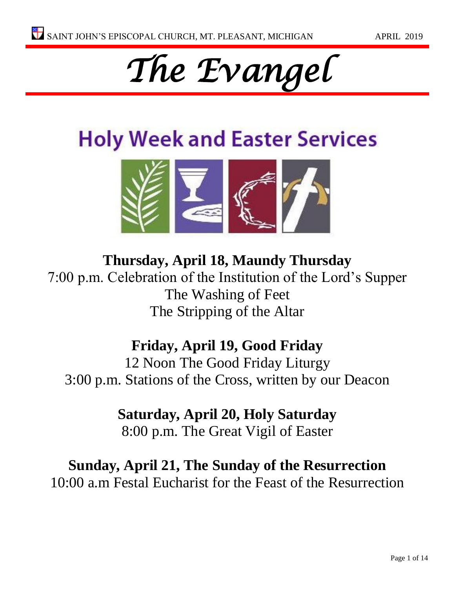# *The Evangel*

# **Holy Week and Easter Services**



# **Thursday, April 18, Maundy Thursday** 7:00 p.m. Celebration of the Institution of the Lord's Supper The Washing of Feet The Stripping of the Altar

# **Friday, April 19, Good Friday**

12 Noon The Good Friday Liturgy 3:00 p.m. Stations of the Cross, written by our Deacon

# **Saturday, April 20, Holy Saturday**

8:00 p.m. The Great Vigil of Easter

## **Sunday, April 21, The Sunday of the Resurrection** 10:00 a.m Festal Eucharist for the Feast of the Resurrection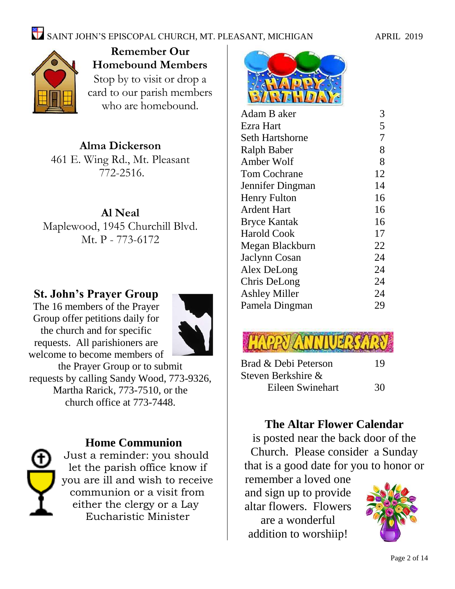# $\sum_{n=1}^{\infty}$  SAINT JOHN'S EPISCOPAL CHURCH, MT. PLEASANT, MICHIGAN APRIL 2019



**Remember Our Homebound Members** Stop by to visit or drop a card to our parish members who are homebound.

# **Alma Dickerson**

461 E. Wing Rd., Mt. Pleasant 772-2516.

#### **Al Neal**

Maplewood, 1945 Churchill Blvd. Mt. P - 773-6172

### **St. John's Prayer Group**

The 16 members of the Prayer Group offer petitions daily for the church and for specific requests. All parishioners are welcome to become members of



the Prayer Group or to submit requests by calling Sandy Wood, 773-9326, Martha Rarick, 773-7510, or the church office at 773-7448.



#### **Home Communion**

Just a reminder: you should let the parish office know if you are ill and wish to receive communion or a visit from either the clergy or a Lay Eucharistic Minister



| Adam B aker            | 3              |
|------------------------|----------------|
| Ezra Hart              | 5              |
| <b>Seth Hartshorne</b> | $\overline{7}$ |
| <b>Ralph Baber</b>     | 8              |
| Amber Wolf             | 8              |
| <b>Tom Cochrane</b>    | 12             |
| Jennifer Dingman       | 14             |
| <b>Henry Fulton</b>    | 16             |
| Ardent Hart            | 16             |
| <b>Bryce Kantak</b>    | 16             |
| <b>Harold Cook</b>     | 17             |
| Megan Blackburn        | 22             |
| Jaclynn Cosan          | 24             |
| Alex DeLong            | 24             |
| Chris DeLong           | 24             |
| <b>Ashley Miller</b>   | 24             |
| Pamela Dingman         | 29             |
|                        |                |



| Brad & Debi Peterson | 19 |
|----------------------|----|
| Steven Berkshire &   |    |
| Eileen Swinehart     | 30 |

### **The Altar Flower Calendar**

is posted near the back door of the Church. Please consider a Sunday that is a good date for you to honor or

remember a loved one and sign up to provide altar flowers. Flowers are a wonderful addition to worshiip!

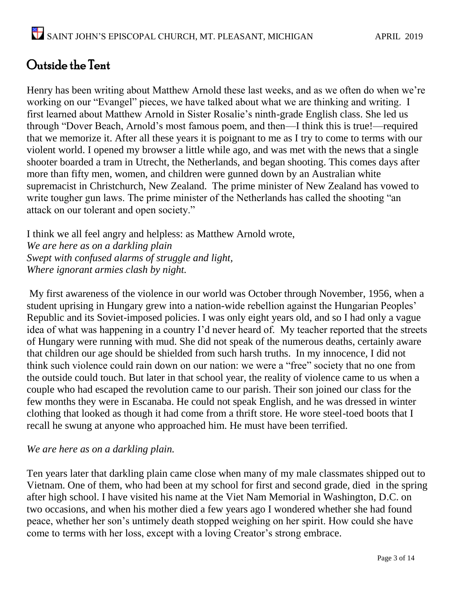# Outside the Tent

Henry has been writing about Matthew Arnold these last weeks, and as we often do when we're working on our "Evangel" pieces, we have talked about what we are thinking and writing. I first learned about Matthew Arnold in Sister Rosalie's ninth-grade English class. She led us through "Dover Beach, Arnold's most famous poem, and then—I think this is true!—required that we memorize it. After all these years it is poignant to me as I try to come to terms with our violent world. I opened my browser a little while ago, and was met with the news that a single shooter boarded a tram in Utrecht, the Netherlands, and began shooting. This comes days after more than fifty men, women, and children were gunned down by an Australian white supremacist in Christchurch, New Zealand. The prime minister of New Zealand has vowed to write tougher gun laws. The prime minister of the Netherlands has called the shooting "an attack on our tolerant and open society."

I think we all feel angry and helpless: as Matthew Arnold wrote, *We are here as on a darkling plain Swept with confused alarms of struggle and light, Where ignorant armies clash by night.*

My first awareness of the violence in our world was October through November, 1956, when a student uprising in Hungary grew into a nation-wide rebellion against the Hungarian Peoples' Republic and its Soviet-imposed policies. I was only eight years old, and so I had only a vague idea of what was happening in a country I'd never heard of. My teacher reported that the streets of Hungary were running with mud. She did not speak of the numerous deaths, certainly aware that children our age should be shielded from such harsh truths. In my innocence, I did not think such violence could rain down on our nation: we were a "free" society that no one from the outside could touch. But later in that school year, the reality of violence came to us when a couple who had escaped the revolution came to our parish. Their son joined our class for the few months they were in Escanaba. He could not speak English, and he was dressed in winter clothing that looked as though it had come from a thrift store. He wore steel-toed boots that I recall he swung at anyone who approached him. He must have been terrified.

#### *We are here as on a darkling plain.*

Ten years later that darkling plain came close when many of my male classmates shipped out to Vietnam. One of them, who had been at my school for first and second grade, died in the spring after high school. I have visited his name at the Viet Nam Memorial in Washington, D.C. on two occasions, and when his mother died a few years ago I wondered whether she had found peace, whether her son's untimely death stopped weighing on her spirit. How could she have come to terms with her loss, except with a loving Creator's strong embrace.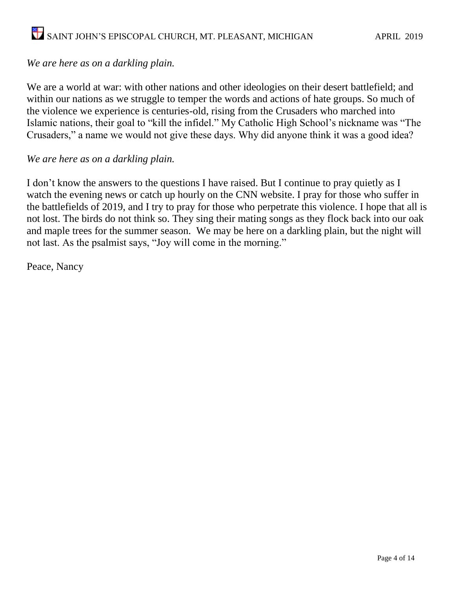#### *We are here as on a darkling plain.*

We are a world at war: with other nations and other ideologies on their desert battlefield; and within our nations as we struggle to temper the words and actions of hate groups. So much of the violence we experience is centuries-old, rising from the Crusaders who marched into Islamic nations, their goal to "kill the infidel." My Catholic High School's nickname was "The Crusaders," a name we would not give these days. Why did anyone think it was a good idea?

#### *We are here as on a darkling plain.*

I don't know the answers to the questions I have raised. But I continue to pray quietly as I watch the evening news or catch up hourly on the CNN website. I pray for those who suffer in the battlefields of 2019, and I try to pray for those who perpetrate this violence. I hope that all is not lost. The birds do not think so. They sing their mating songs as they flock back into our oak and maple trees for the summer season. We may be here on a darkling plain, but the night will not last. As the psalmist says, "Joy will come in the morning."

Peace, Nancy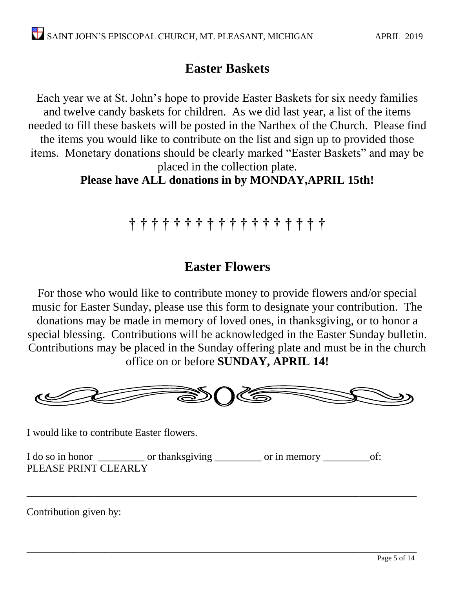## **Easter Baskets**

Each year we at St. John's hope to provide Easter Baskets for six needy families and twelve candy baskets for children. As we did last year, a list of the items needed to fill these baskets will be posted in the Narthex of the Church. Please find the items you would like to contribute on the list and sign up to provided those items. Monetary donations should be clearly marked "Easter Baskets" and may be placed in the collection plate.

**Please have ALL donations in by MONDAY,APRIL 15th!**

# **† † † † † † † † † † † † † † † † † †**

## **Easter Flowers**

For those who would like to contribute money to provide flowers and/or special music for Easter Sunday, please use this form to designate your contribution. The donations may be made in memory of loved ones, in thanksgiving, or to honor a special blessing. Contributions will be acknowledged in the Easter Sunday bulletin. Contributions may be placed in the Sunday offering plate and must be in the church office on or before **SUNDAY, APRIL 14!**



\_\_\_\_\_\_\_\_\_\_\_\_\_\_\_\_\_\_\_\_\_\_\_\_\_\_\_\_\_\_\_\_\_\_\_\_\_\_\_\_\_\_\_\_\_\_\_\_\_\_\_\_\_\_\_\_\_\_\_\_\_\_\_\_\_\_\_\_\_\_\_\_\_\_\_

\_\_\_\_\_\_\_\_\_\_\_\_\_\_\_\_\_\_\_\_\_\_\_\_\_\_\_\_\_\_\_\_\_\_\_\_\_\_\_\_\_\_\_\_\_\_\_\_\_\_\_\_\_\_\_\_\_\_\_\_\_\_\_\_\_\_\_\_\_\_\_\_\_\_\_

I would like to contribute Easter flowers.

I do so in honor \_\_\_\_\_\_\_\_\_\_ or thanksgiving \_\_\_\_\_\_\_\_\_ or in memory \_\_\_\_\_\_\_\_\_\_\_of: PLEASE PRINT CLEARLY

Contribution given by: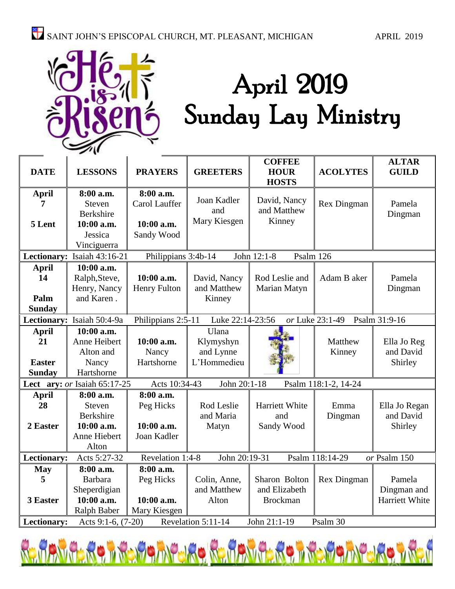

# April 2019 Sunday Lay Ministry

| <b>COFFEE</b><br><b>ALTAR</b>                                                                       |                                    |                     |                  |                          |                      |                |
|-----------------------------------------------------------------------------------------------------|------------------------------------|---------------------|------------------|--------------------------|----------------------|----------------|
| <b>DATE</b>                                                                                         | <b>LESSONS</b>                     | <b>PRAYERS</b>      | <b>GREETERS</b>  | <b>HOUR</b>              | <b>ACOLYTES</b>      | <b>GUILD</b>   |
|                                                                                                     |                                    |                     |                  | <b>HOSTS</b>             |                      |                |
| <b>April</b>                                                                                        | 8:00 a.m.                          | 8:00 a.m.           |                  |                          |                      |                |
| 7                                                                                                   | Steven                             | Carol Lauffer       | Joan Kadler      | David, Nancy             | Rex Dingman          | Pamela         |
|                                                                                                     | Berkshire                          |                     | and              | and Matthew              |                      | Dingman        |
| 5 Lent                                                                                              | 10:00 a.m.                         | 10:00 a.m.          | Mary Kiesgen     | Kinney                   |                      |                |
|                                                                                                     | Jessica                            | Sandy Wood          |                  |                          |                      |                |
|                                                                                                     | Vinciguerra                        |                     |                  |                          |                      |                |
|                                                                                                     | Lectionary: Isaiah 43:16-21        | Philippians 3:4b-14 |                  | John 12:1-8<br>Psalm 126 |                      |                |
| <b>April</b>                                                                                        | 10:00 a.m.                         |                     |                  |                          |                      |                |
| 14                                                                                                  | Ralph, Steve,                      | 10:00 a.m.          | David, Nancy     | Rod Leslie and           | Adam B aker          | Pamela         |
|                                                                                                     | Henry, Nancy                       | Henry Fulton        | and Matthew      | Marian Matyn             |                      | Dingman        |
| Palm                                                                                                | and Karen.                         |                     | Kinney           |                          |                      |                |
| <b>Sunday</b>                                                                                       |                                    |                     |                  |                          |                      |                |
|                                                                                                     | Lectionary: Isaiah 50:4-9a         | Philippians 2:5-11  | Luke 22:14-23:56 |                          | or Luke 23:1-49      | Psalm 31:9-16  |
| <b>April</b>                                                                                        | 10:00 a.m.                         |                     | Ulana            |                          |                      |                |
| 21                                                                                                  | Anne Heibert                       | 10:00 a.m.          | Klymyshyn        |                          | Matthew              | Ella Jo Reg    |
|                                                                                                     | Alton and                          | Nancy               | and Lynne        |                          | Kinney               | and David      |
| <b>Easter</b>                                                                                       | Nancy                              | Hartshorne          | L'Hommedieu      |                          |                      | Shirley        |
| <b>Sunday</b>                                                                                       | Hartshorne                         |                     |                  |                          |                      |                |
|                                                                                                     | Lect ary: or Isaiah 65:17-25       | Acts 10:34-43       | John 20:1-18     |                          | Psalm 118:1-2, 14-24 |                |
| <b>April</b>                                                                                        | 8:00 a.m.                          | 8:00 a.m.           |                  |                          |                      |                |
| 28                                                                                                  | Steven                             | Peg Hicks           | Rod Leslie       | Harriett White           | Emma                 | Ella Jo Regan  |
|                                                                                                     | Berkshire                          |                     | and Maria        | and                      | Dingman              | and David      |
| 2 Easter                                                                                            | 10:00 a.m.                         | 10:00 a.m.          | Matyn            | Sandy Wood               |                      | Shirley        |
|                                                                                                     | Anne Hiebert                       | Joan Kadler         |                  |                          |                      |                |
|                                                                                                     | Alton                              |                     |                  |                          |                      |                |
| Lectionary:<br>Revelation 1:4-8<br>John 20:19-31<br>Acts 5:27-32<br>Psalm 118:14-29<br>or Psalm 150 |                                    |                     |                  |                          |                      |                |
| <b>May</b>                                                                                          | 8:00 a.m.                          | 8:00 a.m.           |                  |                          |                      |                |
| 5                                                                                                   | <b>Barbara</b>                     | Peg Hicks           | Colin, Anne,     | Sharon Bolton            | Rex Dingman          | Pamela         |
|                                                                                                     | Sheperdigian                       |                     | and Matthew      | and Elizabeth            |                      | Dingman and    |
| 3 Easter                                                                                            | 10:00 a.m.                         | 10:00 a.m.          | Alton            | <b>Brockman</b>          |                      | Harriett White |
|                                                                                                     | <b>Ralph Baber</b><br>Mary Kiesgen |                     |                  |                          |                      |                |
| Revelation 5:11-14<br>John 21:1-19<br>Psalm 30<br>Lectionary:<br>Acts 9:1-6, (7-20)                 |                                    |                     |                  |                          |                      |                |

Renavnerg i Reiginferg Renavnerg i Reiginferg i Rei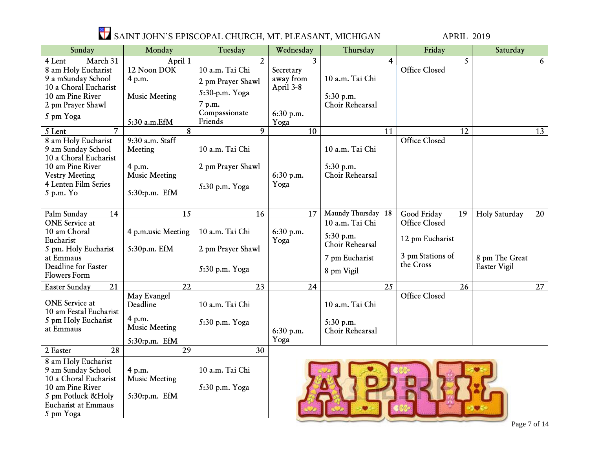

| Sunday                                     | Monday                  | Tuesday                 | Wednesday       | Thursday           | Friday               | Saturday            |
|--------------------------------------------|-------------------------|-------------------------|-----------------|--------------------|----------------------|---------------------|
| March 31<br>4 Lent                         | April 1                 | $\overline{2}$          | $\mathbf{3}$    | 4                  | 5                    | 6                   |
| 8 am Holy Eucharist                        | 12 Noon DOK             | 10 a.m. Tai Chi         | Secretary       |                    | <b>Office Closed</b> |                     |
| 9 a mSunday School                         | 4 p.m.                  | 2 pm Prayer Shawl       | away from       | 10 a.m. Tai Chi    |                      |                     |
| 10 a Choral Eucharist                      |                         | 5:30-p.m. Yoga          | April 3-8       |                    |                      |                     |
| 10 am Pine River                           | <b>Music Meeting</b>    |                         |                 | 5:30 p.m.          |                      |                     |
| 2 pm Prayer Shawl                          |                         | 7 p.m.<br>Compassionate |                 | Choir Rehearsal    |                      |                     |
| 5 pm Yoga                                  | 5:30 a.m.EfM            | Friends                 | 6:30 p.m.       |                    |                      |                     |
| 5 Lent<br>7                                | 8                       | 9                       | Yoga<br>10      | 11                 | 12                   | 13                  |
| 8 am Holy Eucharist                        | 9:30 a.m. Staff         |                         |                 |                    | <b>Office Closed</b> |                     |
| 9 am Sunday School                         | Meeting                 | 10 a.m. Tai Chi         |                 | 10 a.m. Tai Chi    |                      |                     |
| 10 a Choral Eucharist                      |                         |                         |                 |                    |                      |                     |
| 10 am Pine River                           | 4 p.m.                  | 2 pm Prayer Shawl       |                 | 5:30 p.m.          |                      |                     |
| <b>Vestry Meeting</b>                      | <b>Music Meeting</b>    |                         | 6:30 p.m.       | Choir Rehearsal    |                      |                     |
| 4 Lenten Film Series                       |                         | 5:30 p.m. Yoga          | Yoga            |                    |                      |                     |
| 5 p.m. Yo                                  | 5:30:p.m. EfM           |                         |                 |                    |                      |                     |
|                                            |                         |                         |                 |                    |                      |                     |
| 14<br>Palm Sunday                          | 15                      | 16                      | 17              | Maundy Thursday 18 | Good Friday<br>19    | Holy Saturday<br>20 |
| <b>ONE</b> Service at                      |                         |                         |                 | 10 a.m. Tai Chi    | <b>Office Closed</b> |                     |
| 10 am Choral                               | 4 p.m.usic Meeting      | 10 a.m. Tai Chi         | 6:30 p.m.       | 5:30 p.m.          |                      |                     |
| Eucharist                                  |                         |                         | Yoga            | Choir Rehearsal    | 12 pm Eucharist      |                     |
| 5 pm. Holy Eucharist                       | 5:30p.m. EfM            | 2 pm Prayer Shawl       |                 |                    | 3 pm Stations of     |                     |
| at Emmaus                                  |                         |                         |                 | 7 pm Eucharist     | the Cross            | 8 pm The Great      |
| Deadline for Easter<br><b>Flowers Form</b> |                         | 5:30 p.m. Yoga          |                 | 8 pm Vigil         |                      | <b>Easter Vigil</b> |
|                                            |                         |                         |                 |                    |                      |                     |
| $\overline{21}$<br>Easter Sunday           | $\overline{22}$         | $\overline{23}$         | $\overline{24}$ | $\overline{25}$    | $\overline{26}$      | $\overline{27}$     |
| <b>ONE</b> Service at                      | May Evangel<br>Deadline |                         |                 | 10 a.m. Tai Chi    | <b>Office Closed</b> |                     |
| 10 am Festal Eucharist                     |                         | 10 a.m. Tai Chi         |                 |                    |                      |                     |
| 5 pm Holy Eucharist                        | 4 p.m.                  | 5:30 p.m. Yoga          |                 | 5:30 p.m.          |                      |                     |
| at Emmaus                                  | <b>Music Meeting</b>    |                         | 6:30 p.m.       | Choir Rehearsal    |                      |                     |
|                                            | 5:30:p.m. EfM           |                         | Yoga            |                    |                      |                     |
| $\overline{28}$<br>2 Easter                | $\overline{29}$         | 30                      |                 |                    |                      |                     |
| 8 am Holy Eucharist                        |                         |                         |                 |                    |                      |                     |
| 9 am Sunday School                         | 4 p.m.                  | 10 a.m. Tai Chi         |                 |                    |                      |                     |
| 10 a Choral Eucharist                      | <b>Music Meeting</b>    |                         |                 |                    |                      |                     |
| 10 am Pine River                           |                         | 5:30 p.m. Yoga          |                 |                    |                      |                     |
| 5 pm Potluck & Holy                        | 5:30:p.m. EfM           |                         |                 |                    |                      |                     |
| <b>Eucharist at Emmaus</b>                 |                         |                         |                 |                    |                      |                     |
| 5 pm Yoga                                  |                         |                         |                 |                    |                      |                     |

\_\_\_\_\_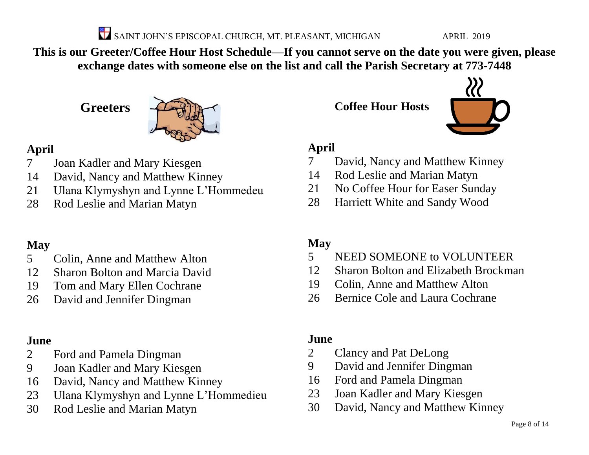SAINT JOHN'S EPISCOPAL CHURCH, MT. PLEASANT, MICHIGAN APRIL 2019

**This is our Greeter/Coffee Hour Host Schedule—If you cannot serve on the date you were given, please exchange dates with someone else on the list and call the Parish Secretary at 773-7448**

**Greeters**



#### **April**

- Joan Kadler and Mary Kiesgen
- David, Nancy and Matthew Kinney
- Ulana Klymyshyn and Lynne L'Hommedeu
- Rod Leslie and Marian Matyn

### **May**

- Colin, Anne and Matthew Alton
- Sharon Bolton and Marcia David
- Tom and Mary Ellen Cochrane
- David and Jennifer Dingman

### **June**

- Ford and Pamela Dingman
- Joan Kadler and Mary Kiesgen
- David, Nancy and Matthew Kinney
- Ulana Klymyshyn and Lynne L'Hommedieu
- Rod Leslie and Marian Matyn

**Coffee Hour Hosts**



#### **April**

- David, Nancy and Matthew Kinney
- Rod Leslie and Marian Matyn
- No Coffee Hour for Easer Sunday
- Harriett White and Sandy Wood

### **May**

- NEED SOMEONE to VOLUNTEER
- Sharon Bolton and Elizabeth Brockman
- Colin, Anne and Matthew Alton
- Bernice Cole and Laura Cochrane

### **June**

- Clancy and Pat DeLong
- David and Jennifer Dingman
- Ford and Pamela Dingman
- Joan Kadler and Mary Kiesgen
- David, Nancy and Matthew Kinney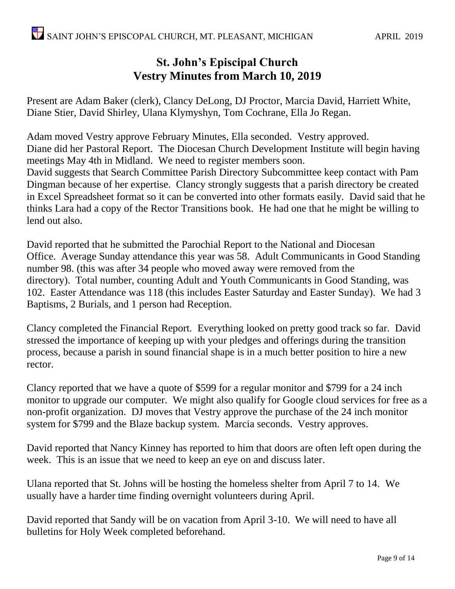#### **St. John's Episcipal Church Vestry Minutes from March 10, 2019**

Present are Adam Baker (clerk), Clancy DeLong, DJ Proctor, Marcia David, Harriett White, Diane Stier, David Shirley, Ulana Klymyshyn, Tom Cochrane, Ella Jo Regan.

Adam moved Vestry approve February Minutes, Ella seconded. Vestry approved. Diane did her Pastoral Report. The Diocesan Church Development Institute will begin having meetings May 4th in Midland. We need to register members soon. David suggests that Search Committee Parish Directory Subcommittee keep contact with Pam Dingman because of her expertise. Clancy strongly suggests that a parish directory be created in Excel Spreadsheet format so it can be converted into other formats easily. David said that he thinks Lara had a copy of the Rector Transitions book. He had one that he might be willing to lend out also.

David reported that he submitted the Parochial Report to the National and Diocesan Office. Average Sunday attendance this year was 58. Adult Communicants in Good Standing number 98. (this was after 34 people who moved away were removed from the directory). Total number, counting Adult and Youth Communicants in Good Standing, was 102. Easter Attendance was 118 (this includes Easter Saturday and Easter Sunday). We had 3 Baptisms, 2 Burials, and 1 person had Reception.

Clancy completed the Financial Report. Everything looked on pretty good track so far. David stressed the importance of keeping up with your pledges and offerings during the transition process, because a parish in sound financial shape is in a much better position to hire a new rector.

Clancy reported that we have a quote of \$599 for a regular monitor and \$799 for a 24 inch monitor to upgrade our computer. We might also qualify for Google cloud services for free as a non-profit organization. DJ moves that Vestry approve the purchase of the 24 inch monitor system for \$799 and the Blaze backup system. Marcia seconds. Vestry approves.

David reported that Nancy Kinney has reported to him that doors are often left open during the week. This is an issue that we need to keep an eye on and discuss later.

Ulana reported that St. Johns will be hosting the homeless shelter from April 7 to 14. We usually have a harder time finding overnight volunteers during April.

David reported that Sandy will be on vacation from April 3-10. We will need to have all bulletins for Holy Week completed beforehand.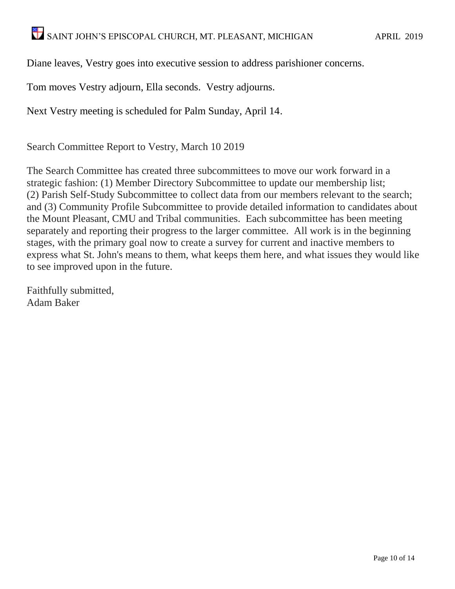Diane leaves, Vestry goes into executive session to address parishioner concerns.

Tom moves Vestry adjourn, Ella seconds. Vestry adjourns.

Next Vestry meeting is scheduled for Palm Sunday, April 14.

Search Committee Report to Vestry, March 10 2019

The Search Committee has created three subcommittees to move our work forward in a strategic fashion: (1) Member Directory Subcommittee to update our membership list; (2) Parish Self-Study Subcommittee to collect data from our members relevant to the search; and (3) Community Profile Subcommittee to provide detailed information to candidates about the Mount Pleasant, CMU and Tribal communities. Each subcommittee has been meeting separately and reporting their progress to the larger committee. All work is in the beginning stages, with the primary goal now to create a survey for current and inactive members to express what St. John's means to them, what keeps them here, and what issues they would like to see improved upon in the future.

Faithfully submitted, Adam Baker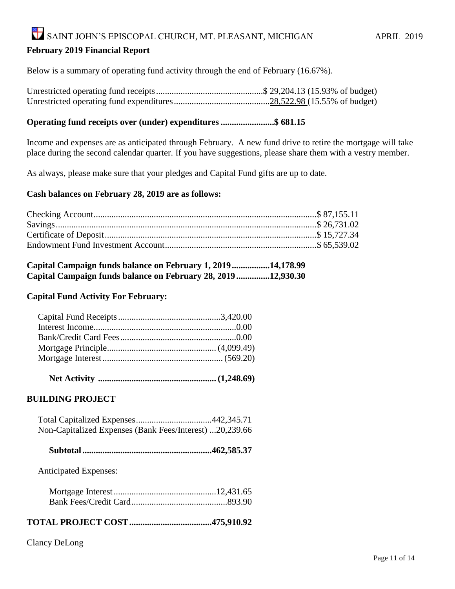#### SAINT JOHN'S EPISCOPAL CHURCH, MT. PLEASANT, MICHIGAN APRIL 2019 **February 2019 Financial Report**

Below is a summary of operating fund activity through the end of February (16.67%).

Unrestricted operating fund receipts................................................\$ 29,204.13 (15.93% of budget) Unrestricted operating fund expenditures...........................................28,522.98 (15.55% of budget)

#### **Operating fund receipts over (under) expenditures ........................\$ 681.15**

Income and expenses are as anticipated through February. A new fund drive to retire the mortgage will take place during the second calendar quarter. If you have suggestions, please share them with a vestry member.

As always, please make sure that your pledges and Capital Fund gifts are up to date.

#### **Cash balances on February 28, 2019 are as follows:**

| Capital Campaign funds balance on February 1, 2019 14,178.99 |  |
|--------------------------------------------------------------|--|
| Capital Campaign funds balance on February 28, 201912,930.30 |  |

#### **Capital Fund Activity For February:**

 **Net Activity ..................................................... (1,248.69)**

#### **BUILDING PROJECT**

| Non-Capitalized Expenses (Bank Fees/Interest) 20,239.66 |  |
|---------------------------------------------------------|--|

|--|--|--|--|

Anticipated Expenses:

#### **TOTAL PROJECT COST.....................................475,910.92**

#### Clancy DeLong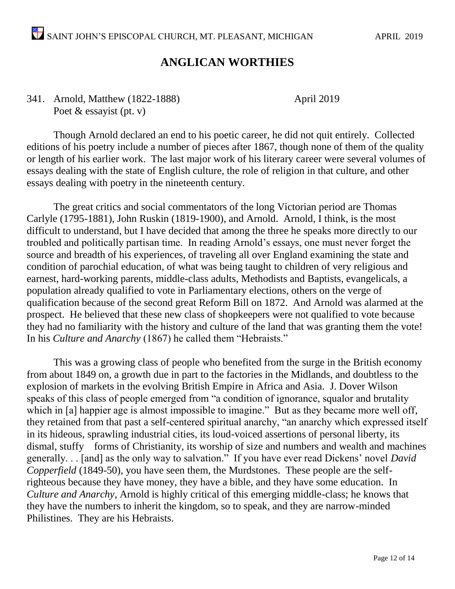#### **ANGLICAN WORTHIES**

341. Arnold, Matthew (1822-1888) April 2019 Poet & essayist (pt. v)

Though Arnold declared an end to his poetic career, he did not quit entirely. Collected editions of his poetry include a number of pieces after 1867, though none of them of the quality or length of his earlier work. The last major work of his literary career were several volumes of essays dealing with the state of English culture, the role of religion in that culture, and other essays dealing with poetry in the nineteenth century.

The great critics and social commentators of the long Victorian period are Thomas Carlyle (1795-1881), John Ruskin (1819-1900), and Arnold. Arnold, I think, is the most difficult to understand, but I have decided that among the three he speaks more directly to our troubled and politically partisan time. In reading Arnold's essays, one must never forget the source and breadth of his experiences, of traveling all over England examining the state and condition of parochial education, of what was being taught to children of very religious and earnest, hard-working parents, middle-class adults, Methodists and Baptists, evangelicals, a population already qualified to vote in Parliamentary elections, others on the verge of qualification because of the second great Reform Bill on 1872. And Arnold was alarmed at the prospect. He believed that these new class of shopkeepers were not qualified to vote because they had no familiarity with the history and culture of the land that was granting them the vote! In his *Culture and Anarchy* (1867) he called them "Hebraists."

This was a growing class of people who benefited from the surge in the British economy from about 1849 on, a growth due in part to the factories in the Midlands, and doubtless to the explosion of markets in the evolving British Empire in Africa and Asia. J. Dover Wilson speaks of this class of people emerged from "a condition of ignorance, squalor and brutality which in [a] happier age is almost impossible to imagine." But as they became more well off, they retained from that past a self-centered spiritual anarchy, "an anarchy which expressed itself in its hideous, sprawling industrial cities, its loud-voiced assertions of personal liberty, its dismal, stuffy forms of Christianity, its worship of size and numbers and wealth and machines generally. . . [and] as the only way to salvation." If you have ever read Dickens' novel *David Copperfield* (1849-50), you have seen them, the Murdstones. These people are the selfrighteous because they have money, they have a bible, and they have some education. In *Culture and Anarchy*, Arnold is highly critical of this emerging middle-class; he knows that they have the numbers to inherit the kingdom, so to speak, and they are narrow-minded Philistines. They are his Hebraists.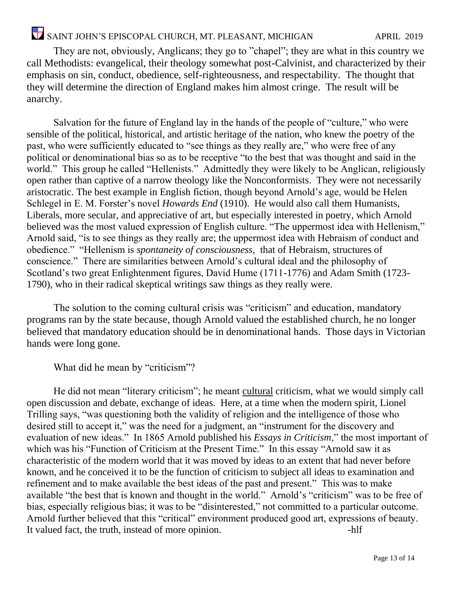# SAINT JOHN'S EPISCOPAL CHURCH, MT. PLEASANT, MICHIGAN APRIL 2019

They are not, obviously, Anglicans; they go to "chapel"; they are what in this country we call Methodists: evangelical, their theology somewhat post-Calvinist, and characterized by their emphasis on sin, conduct, obedience, self-righteousness, and respectability. The thought that they will determine the direction of England makes him almost cringe. The result will be anarchy.

Salvation for the future of England lay in the hands of the people of "culture," who were sensible of the political, historical, and artistic heritage of the nation, who knew the poetry of the past, who were sufficiently educated to "see things as they really are," who were free of any political or denominational bias so as to be receptive "to the best that was thought and said in the world." This group he called "Hellenists." Admittedly they were likely to be Anglican, religiously open rather than captive of a narrow theology like the Nonconformists. They were not necessarily aristocratic. The best example in English fiction, though beyond Arnold's age, would be Helen Schlegel in E. M. Forster's novel *Howards End* (1910). He would also call them Humanists, Liberals, more secular, and appreciative of art, but especially interested in poetry, which Arnold believed was the most valued expression of English culture. "The uppermost idea with Hellenism," Arnold said, "is to see things as they really are; the uppermost idea with Hebraism of conduct and obedience." "Hellenism is *spontaneity of consciousness*, that of Hebraism, structures of conscience." There are similarities between Arnold's cultural ideal and the philosophy of Scotland's two great Enlightenment figures, David Hume (1711-1776) and Adam Smith (1723- 1790), who in their radical skeptical writings saw things as they really were.

The solution to the coming cultural crisis was "criticism" and education, mandatory programs ran by the state because, though Arnold valued the established church, he no longer believed that mandatory education should be in denominational hands. Those days in Victorian hands were long gone.

What did he mean by "criticism"?

He did not mean "literary criticism"; he meant cultural criticism, what we would simply call open discussion and debate, exchange of ideas. Here, at a time when the modern spirit, Lionel Trilling says, "was questioning both the validity of religion and the intelligence of those who desired still to accept it," was the need for a judgment, an "instrument for the discovery and evaluation of new ideas." In 1865 Arnold published his *Essays in Criticism*," the most important of which was his "Function of Criticism at the Present Time." In this essay "Arnold saw it as characteristic of the modern world that it was moved by ideas to an extent that had never before known, and he conceived it to be the function of criticism to subject all ideas to examination and refinement and to make available the best ideas of the past and present." This was to make available "the best that is known and thought in the world." Arnold's "criticism" was to be free of bias, especially religious bias; it was to be "disinterested," not committed to a particular outcome. Arnold further believed that this "critical" environment produced good art, expressions of beauty. It valued fact, the truth, instead of more opinion. -hlf